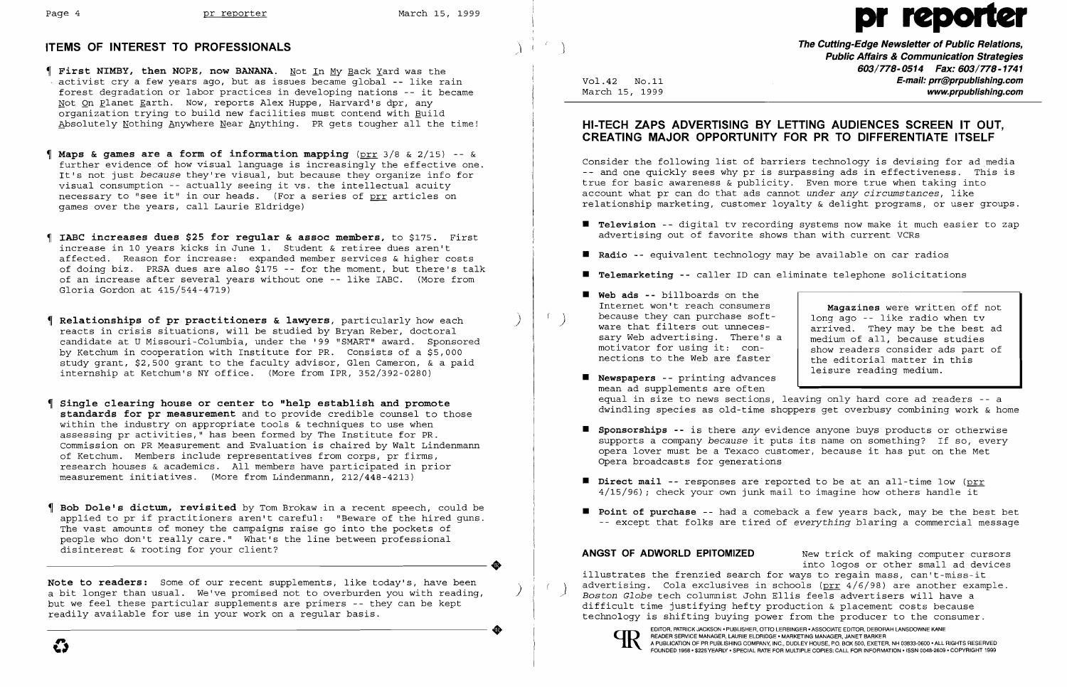- **First NIMBY, then NOPE, now BANANA.** Not In My Back Yard was the activist cry a few years ago, but as issues became global **--** like rain forest degradation or labor practices in developing nations -- it became Not On Planet Earth. Now, reports Alex Huppe, Harvard's dpr, any organization trying to build new facilities must contend with Build Absolutely Nothing Anywhere Near Anything. PR gets tougher all the time!
- **Maps & games are a form of information mapping** (prr 3/8 & 2/15) -- & further evidence of how visual language is increasingly the effective one. It's not just *because* they're visual, but because they organize info for visual consumption -- actually seeing it vs. the intellectual acuity necessary to "see it" in our heads. (For a series of prr articles on games over the years, call Laurie Eldridge)
- **IABC increases dues \$25 for regular & assoc members,** to \$175. First increase in 10 years kicks in June 1. Student & retiree dues aren't affected. Reason for increase: expanded member services & higher costs of doing biz. PRSA dues are also  $$175$  -- for the moment, but there's talk of an increase after several years without one -- like IABC. (More from Gloria Gordon at 415/544-4719)
- **Relationships of pr practitioners & lawyers,** particularly how each ) reacts in crisis situations, will be studied by Bryan Reber, doctoral candidate at U Missouri-Columbia, under the '99 "SMART" award. Sponsored by Ketchum in cooperation with Institute for PR. Consists of a \$5,000 study grant, \$2,500 grant to the faculty advisor, Glen Cameron, & a paid internship at Ketchum's NY office. (More from IPR, 352/392-0280)
- **Single clearing house or center to "help establish and promote standards for pr measurement** and to provide credible counsel to those within the industry on appropriate tools & techniques to use when assessing pr activities," has been formed by The Institute for  $PR$ . Commission on PR Measurement and Evaluation is chaired by Walt Lindenmann of Ketchum. Members include representatives from corps, pr firms, research houses & academics. All members have participated in prior measurement initiatives. (More from Lindenmann, 212/448-4213)
- **Bob Dole1s dictum, revisited** by Tom Brokaw in a recent speech, could be applied to pr if practitioners aren't careful: "Beware of the hired guns. The vast amounts of money the campaigns raise go into the pockets of people who don't really care." What's the line between professional disinterest & rooting for your client? disinterest & rooting for your client?

**Note to readers:** Some of our recent supplements, like today's, have been a bit longer than usual. We've promised not to overburden you with reading, but we feel these particular supplements are primers -- they can be kept readily available for use in your work on a regular basis. eadily available for use in your work on a regular basis.<br>  $\bullet$ 

**Magazines** were written off not<br>long ago -- like radio when tv ware that filters out unneces-<br>sary Web advertising. There's a medium of all, because studies show readers consider ads part of<br>the editorial matter in this leisure reading medium.

**• Point of purchase** -- had a comeback a few years back, may be the best bet -- except that folks are tired of *everything* blaring a commercial message

**ANGST OF ADWORLD EPITOMIZED** New trick of making computer cursors into logos or other small ad devices illustrates the frenzied search for ways to regain mass, can't-miss-it advertising. Cola exclusives in schools (prr 4/6/98) are another example.<br>*Boston Globe* tech columnist John Ellis feels advertisers will have a difficult time justifying hefty production & placement costs because technology is shifting buying power from the producer to the consumer .

## **HI-TECH ZAPS ADVERTISING BY LETTING AUDIENCES SCREEN IT OUT, CREATING MAJOR OPPORTUNITY FOR PR TO DIFFERENTIATE ITSELF**

Consider the following list of barriers technology is devising for ad media -- and one quickly sees why pr is surpassing ads in effectiveness. This is true for basic awareness & publicity. Even more true when taking into account what pr can do that ads cannot *under any circumstances,* like relationship marketing, customer loyalty & delight programs, or user groups.

- **• Television --** digital tv recording systems now make it much easier to zap advertising out of favorite shows than with current VCRs
- **• Radio --** equivalent technology may be available on car radios
- $\blacksquare$  **Telemarketing --** caller ID can eliminate telephone solicitations
- **• Web ads --** billboards on the Internet won't reach consumers<br>because they can purchase softsary Web advertising. There's a<br>motivator for using it: connections to the Web are faster
- **• Newspapers --** printing advances mean ad supplements are often
- **• Sponsorships --** is there *any* evidence anyone buys products or otherwise Opera broadcasts for generations
- **• Direct mail --** responses are reported to be at an all-time low (prr 4/15/96) *i* check your own junk mail to imagine how others handle it
- 

equal in size to news sections, leaving only hard core ad readers -- a dwindling species as old-time shoppers get overbusy combining work & home

supports a company *because* it puts its name on something? If so, every opera lover must be a Texaco customer, because it has put on the Met



EDITOR, PATRICK JACKSON • PUBLISHER, OTTO LERBINGER • ASSOCIATE EDITOR, DEBORAH LANSDOWNE KANE<br>READER SERVICE MANAGER, LAURIE ELDRIDGE • MARKETING MANAGER, JANET BARKER<br>A BUBLICATION OF BRIBUISHING COMBANY ING. DUBLEY HOUG

# Page 4 pr reporter March 15, 1999 pr reporter March 15, 1999

**The Cutting-Edge Newsletter of Public Relations,**<br>Public Affairs & Communication Strategies **Public Affairs & Communication Strategies 603/778-0514 Fax: 603/778-1741**  Vol.42 No.11<br>March 15, 1999 **E-mail: prr@prpublishing.com** www.prpublishing.com